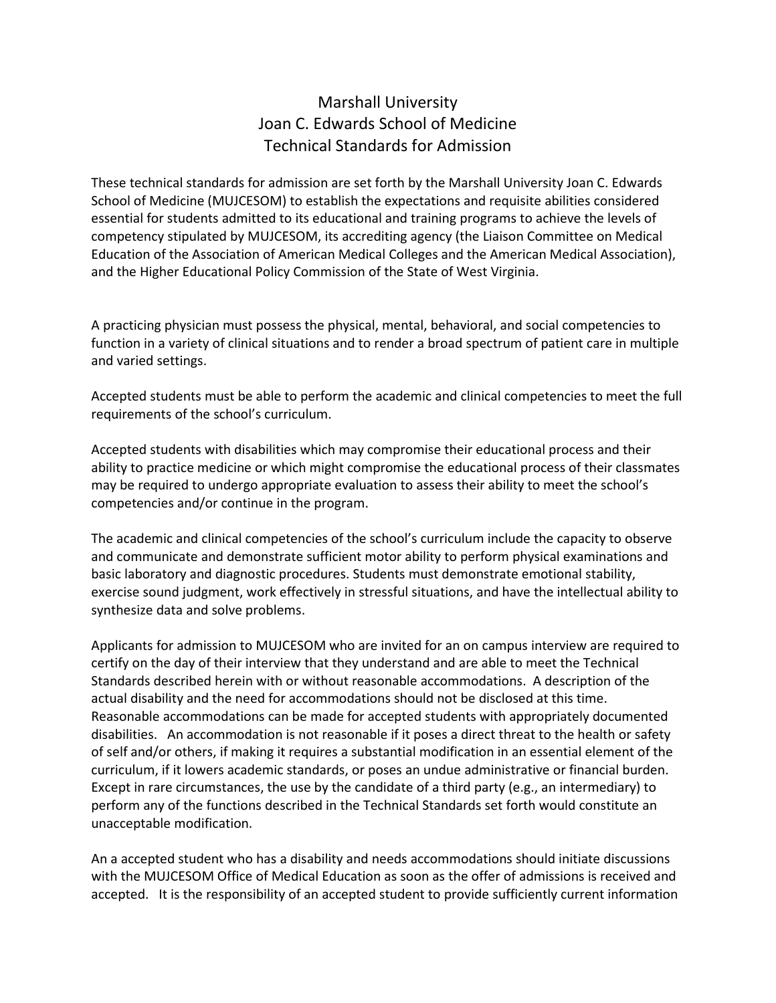## Marshall University Joan C. Edwards School of Medicine Technical Standards for Admission

These technical standards for admission are set forth by the Marshall University Joan C. Edwards School of Medicine (MUJCESOM) to establish the expectations and requisite abilities considered essential for students admitted to its educational and training programs to achieve the levels of competency stipulated by MUJCESOM, its accrediting agency (the Liaison Committee on Medical Education of the Association of American Medical Colleges and the American Medical Association), and the Higher Educational Policy Commission of the State of West Virginia.

A practicing physician must possess the physical, mental, behavioral, and social competencies to function in a variety of clinical situations and to render a broad spectrum of patient care in multiple and varied settings.

Accepted students must be able to perform the academic and clinical competencies to meet the full requirements of the school's curriculum.

Accepted students with disabilities which may compromise their educational process and their ability to practice medicine or which might compromise the educational process of their classmates may be required to undergo appropriate evaluation to assess their ability to meet the school's competencies and/or continue in the program.

The academic and clinical competencies of the school's curriculum include the capacity to observe and communicate and demonstrate sufficient motor ability to perform physical examinations and basic laboratory and diagnostic procedures. Students must demonstrate emotional stability, exercise sound judgment, work effectively in stressful situations, and have the intellectual ability to synthesize data and solve problems.

Applicants for admission to MUJCESOM who are invited for an on campus interview are required to certify on the day of their interview that they understand and are able to meet the Technical Standards described herein with or without reasonable accommodations. A description of the actual disability and the need for accommodations should not be disclosed at this time. Reasonable accommodations can be made for accepted students with appropriately documented disabilities. An accommodation is not reasonable if it poses a direct threat to the health or safety of self and/or others, if making it requires a substantial modification in an essential element of the curriculum, if it lowers academic standards, or poses an undue administrative or financial burden. Except in rare circumstances, the use by the candidate of a third party (e.g., an intermediary) to perform any of the functions described in the Technical Standards set forth would constitute an unacceptable modification.

An a accepted student who has a disability and needs accommodations should initiate discussions with the MUJCESOM Office of Medical Education as soon as the offer of admissions is received and accepted. It is the responsibility of an accepted student to provide sufficiently current information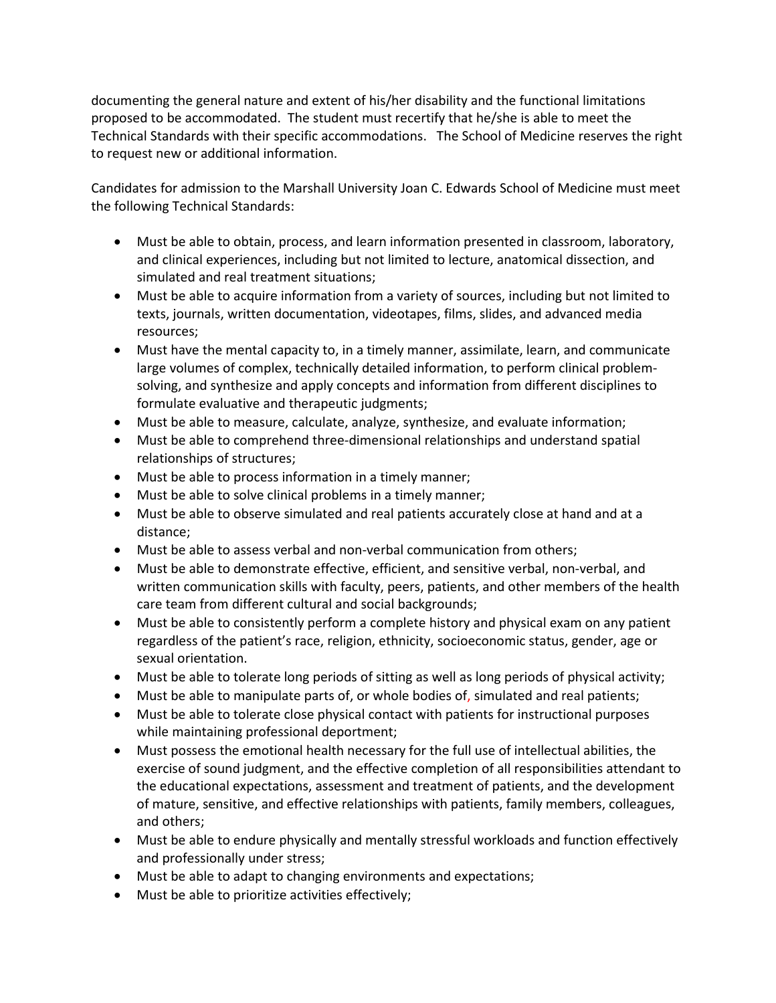documenting the general nature and extent of his/her disability and the functional limitations proposed to be accommodated. The student must recertify that he/she is able to meet the Technical Standards with their specific accommodations. The School of Medicine reserves the right to request new or additional information.

Candidates for admission to the Marshall University Joan C. Edwards School of Medicine must meet the following Technical Standards:

- Must be able to obtain, process, and learn information presented in classroom, laboratory, and clinical experiences, including but not limited to lecture, anatomical dissection, and simulated and real treatment situations;
- Must be able to acquire information from a variety of sources, including but not limited to texts, journals, written documentation, videotapes, films, slides, and advanced media resources;
- Must have the mental capacity to, in a timely manner, assimilate, learn, and communicate large volumes of complex, technically detailed information, to perform clinical problemsolving, and synthesize and apply concepts and information from different disciplines to formulate evaluative and therapeutic judgments;
- Must be able to measure, calculate, analyze, synthesize, and evaluate information;
- Must be able to comprehend three-dimensional relationships and understand spatial relationships of structures;
- Must be able to process information in a timely manner;
- Must be able to solve clinical problems in a timely manner;
- Must be able to observe simulated and real patients accurately close at hand and at a distance;
- Must be able to assess verbal and non-verbal communication from others;
- Must be able to demonstrate effective, efficient, and sensitive verbal, non-verbal, and written communication skills with faculty, peers, patients, and other members of the health care team from different cultural and social backgrounds;
- Must be able to consistently perform a complete history and physical exam on any patient regardless of the patient's race, religion, ethnicity, socioeconomic status, gender, age or sexual orientation.
- Must be able to tolerate long periods of sitting as well as long periods of physical activity;
- Must be able to manipulate parts of, or whole bodies of, simulated and real patients;
- Must be able to tolerate close physical contact with patients for instructional purposes while maintaining professional deportment;
- Must possess the emotional health necessary for the full use of intellectual abilities, the exercise of sound judgment, and the effective completion of all responsibilities attendant to the educational expectations, assessment and treatment of patients, and the development of mature, sensitive, and effective relationships with patients, family members, colleagues, and others;
- Must be able to endure physically and mentally stressful workloads and function effectively and professionally under stress;
- Must be able to adapt to changing environments and expectations;
- Must be able to prioritize activities effectively;